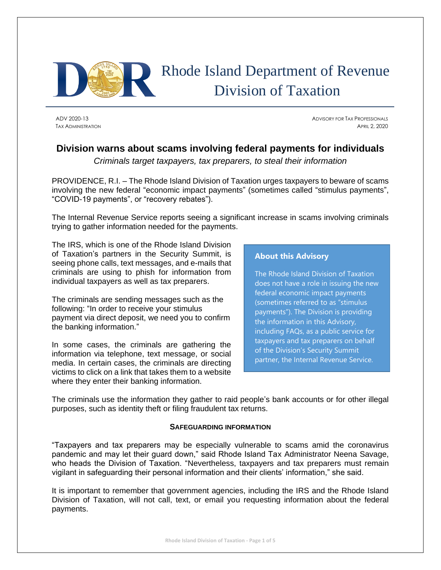

# Rhode Island Department of Revenue Division of Taxation

ADV 2020-13 ADVISORY FOR TAX PROFESSIONALS TAX ADMINISTRATION APRIL 2, 2020

# **Division warns about scams involving federal payments for individuals**

*Criminals target taxpayers, tax preparers, to steal their information*

PROVIDENCE, R.I. – The Rhode Island Division of Taxation urges taxpayers to beware of scams involving the new federal "economic impact payments" (sometimes called "stimulus payments", "COVID-19 payments", or "recovery rebates").

The Internal Revenue Service reports seeing a significant increase in scams involving criminals trying to gather information needed for the payments.

The IRS, which is one of the Rhode Island Division of Taxation's partners in the Security Summit, is seeing phone calls, text messages, and e-mails that criminals are using to phish for information from individual taxpayers as well as tax preparers.

The criminals are sending messages such as the following: "In order to receive your stimulus payment via direct deposit, we need you to confirm the banking information."

In some cases, the criminals are gathering the information via telephone, text message, or social media. In certain cases, the criminals are directing victims to click on a link that takes them to a website where they enter their banking information.

# **About this Advisory**

The Rhode Island Division of Taxation does not have a role in issuing the new federal economic impact payments (sometimes referred to as "stimulus payments"). The Division is providing the information in this Advisory, including FAQs, as a public service for taxpayers and tax preparers on behalf of the Division's Security Summit partner, the Internal Revenue Service.

The criminals use the information they gather to raid people's bank accounts or for other illegal purposes, such as identity theft or filing fraudulent tax returns.

#### **SAFEGUARDING INFORMATION**

"Taxpayers and tax preparers may be especially vulnerable to scams amid the coronavirus pandemic and may let their guard down," said Rhode Island Tax Administrator Neena Savage, who heads the Division of Taxation. "Nevertheless, taxpayers and tax preparers must remain vigilant in safeguarding their personal information and their clients' information," she said.

It is important to remember that government agencies, including the IRS and the Rhode Island Division of Taxation, will not call, text, or email you requesting information about the federal payments.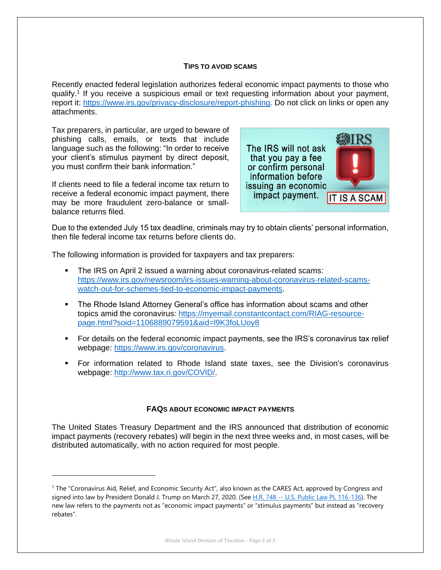#### **TIPS TO AVOID SCAMS**

Recently enacted federal legislation authorizes federal economic impact payments to those who qualify.<sup>1</sup> If you receive a suspicious email or text requesting information about your payment, report it: [https://www.irs.gov/privacy-disclosure/report-phishing.](https://www.irs.gov/privacy-disclosure/report-phishing) Do not click on links or open any attachments.

Tax preparers, in particular, are urged to beware of phishing calls, emails, or texts that include language such as the following: "In order to receive your client's stimulus payment by direct deposit, you must confirm their bank information."

If clients need to file a federal income tax return to receive a federal economic impact payment, there may be more fraudulent zero-balance or smallbalance returns filed.



Due to the extended July 15 tax deadline, criminals may try to obtain clients' personal information, then file federal income tax returns before clients do.

The following information is provided for taxpayers and tax preparers:

- The IRS on April 2 issued a warning about coronavirus-related scams: [https://www.irs.gov/newsroom/irs-issues-warning-about-coronavirus-related-scams](https://www.irs.gov/newsroom/irs-issues-warning-about-coronavirus-related-scams-watch-out-for-schemes-tied-to-economic-impact-payments)[watch-out-for-schemes-tied-to-economic-impact-payments.](https://www.irs.gov/newsroom/irs-issues-warning-about-coronavirus-related-scams-watch-out-for-schemes-tied-to-economic-impact-payments)
- The Rhode Island Attorney General's office has information about scams and other topics amid the coronavirus: [https://myemail.constantcontact.com/RIAG-resource](https://myemail.constantcontact.com/RIAG-resource-page.html?soid=1106889079591&aid=l9K3foLUoy8)[page.html?soid=1106889079591&aid=l9K3foLUoy8](https://myemail.constantcontact.com/RIAG-resource-page.html?soid=1106889079591&aid=l9K3foLUoy8)
- For details on the federal economic impact payments, see the IRS's coronavirus tax relief webpage: [https://www.irs.gov/coronavirus.](https://www.irs.gov/coronavirus)
- For information related to Rhode Island state taxes, see the Division's coronavirus webpage: [http://www.tax.ri.gov/COVID/.](http://www.tax.ri.gov/COVID/)

#### **FAQS ABOUT ECONOMIC IMPACT PAYMENTS**

The United States Treasury Department and the IRS announced that distribution of economic impact payments (recovery rebates) will begin in the next three weeks and, in most cases, will be distributed automatically, with no action required for most people.

<sup>1</sup> The "Coronavirus Aid, Relief, and Economic Security Act", also known as the CARES Act, approved by Congress and signed into law by President Donald J. Trump on March 27, 2020. (See H.R. 748 -- [U.S. Public Law PL 116-136\)](https://www.congress.gov/bill/116th-congress/house-bill/748/text). The new law refers to the payments not as "economic impact payments" or "stimulus payments" but instead as "recovery rebates".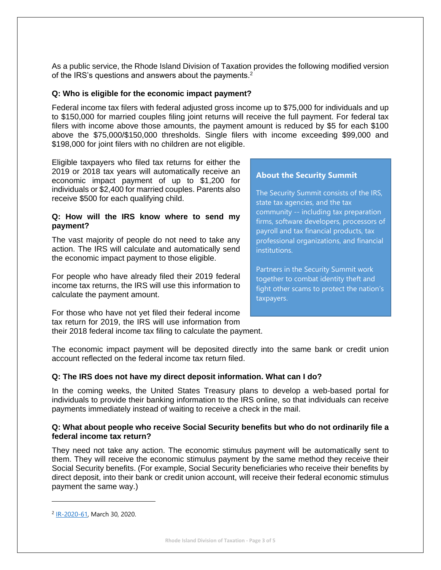As a public service, the Rhode Island Division of Taxation provides the following modified version of the IRS's questions and answers about the payments.<sup>2</sup>

#### **Q: Who is eligible for the economic impact payment?**

Federal income tax filers with federal adjusted gross income up to \$75,000 for individuals and up to \$150,000 for married couples filing joint returns will receive the full payment. For federal tax filers with income above those amounts, the payment amount is reduced by \$5 for each \$100 above the \$75,000/\$150,000 thresholds. Single filers with income exceeding \$99,000 and \$198,000 for joint filers with no children are not eligible.

Eligible taxpayers who filed tax returns for either the 2019 or 2018 tax years will automatically receive an economic impact payment of up to \$1,200 for individuals or \$2,400 for married couples. Parents also receive \$500 for each qualifying child.

#### **Q: How will the IRS know where to send my payment?**

The vast majority of people do not need to take any action. The IRS will calculate and automatically send the economic impact payment to those eligible.

For people who have already filed their 2019 federal income tax returns, the IRS will use this information to calculate the payment amount.

For those who have not yet filed their federal income tax return for 2019, the IRS will use information from their 2018 federal income tax filing to calculate the payment.

### **About the Security Summit**

The Security Summit consists of the IRS, state tax agencies, and the tax community -- including tax preparation firms, software developers, processors of payroll and tax financial products, tax professional organizations, and financial institutions.

Partners in the Security Summit work together to combat identity theft and fight other scams to protect the nation's taxpayers.

The economic impact payment will be deposited directly into the same bank or credit union account reflected on the federal income tax return filed.

#### **Q: The IRS does not have my direct deposit information. What can I do?**

In the coming weeks, the United States Treasury plans to develop a web-based portal for individuals to provide their banking information to the IRS online, so that individuals can receive payments immediately instead of waiting to receive a check in the mail.

#### **Q: What about people who receive Social Security benefits but who do not ordinarily file a federal income tax return?**

They need not take any action. The economic stimulus payment will be automatically sent to them. They will receive the economic stimulus payment by the same method they receive their Social Security benefits. (For example, Social Security beneficiaries who receive their benefits by direct deposit, into their bank or credit union account, will receive their federal economic stimulus payment the same way.)

<sup>&</sup>lt;sup>2</sup> [IR-2020-61,](https://www.irs.gov/newsroom/economic-impact-payments-what-you-need-to-know) March 30, 2020.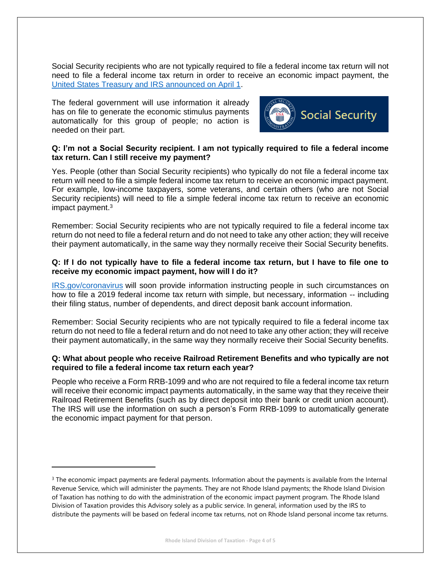Social Security recipients who are not typically required to file a federal income tax return will not need to file a federal income tax return in order to receive an economic impact payment, the [United States Treasury and IRS announced on April 1.](https://home.treasury.gov/news/press-releases/sm967)

The federal government will use information it already has on file to generate the economic stimulus payments automatically for this group of people; no action is needed on their part.



#### **Q: I'm not a Social Security recipient. I am not typically required to file a federal income tax return. Can I still receive my payment?**

Yes. People (other than Social Security recipients) who typically do not file a federal income tax return will need to file a simple federal income tax return to receive an economic impact payment. For example, low-income taxpayers, some veterans, and certain others (who are not Social Security recipients) will need to file a simple federal income tax return to receive an economic impact payment. 3

Remember: Social Security recipients who are not typically required to file a federal income tax return do not need to file a federal return and do not need to take any other action; they will receive their payment automatically, in the same way they normally receive their Social Security benefits.

#### **Q: If I do not typically have to file a federal income tax return, but I have to file one to receive my economic impact payment, how will I do it?**

[IRS.gov/coronavirus](https://www.irs.gov/coronavirus) will soon provide information instructing people in such circumstances on how to file a 2019 federal income tax return with simple, but necessary, information -- including their filing status, number of dependents, and direct deposit bank account information.

Remember: Social Security recipients who are not typically required to file a federal income tax return do not need to file a federal return and do not need to take any other action; they will receive their payment automatically, in the same way they normally receive their Social Security benefits.

### **Q: What about people who receive Railroad Retirement Benefits and who typically are not required to file a federal income tax return each year?**

People who receive a Form RRB-1099 and who are not required to file a federal income tax return will receive their economic impact payments automatically, in the same way that they receive their Railroad Retirement Benefits (such as by direct deposit into their bank or credit union account). The IRS will use the information on such a person's Form RRB-1099 to automatically generate the economic impact payment for that person.

<sup>&</sup>lt;sup>3</sup> The economic impact payments are federal payments. Information about the payments is available from the Internal Revenue Service, which will administer the payments. They are not Rhode Island payments; the Rhode Island Division of Taxation has nothing to do with the administration of the economic impact payment program. The Rhode Island Division of Taxation provides this Advisory solely as a public service. In general, information used by the IRS to distribute the payments will be based on federal income tax returns, not on Rhode Island personal income tax returns.